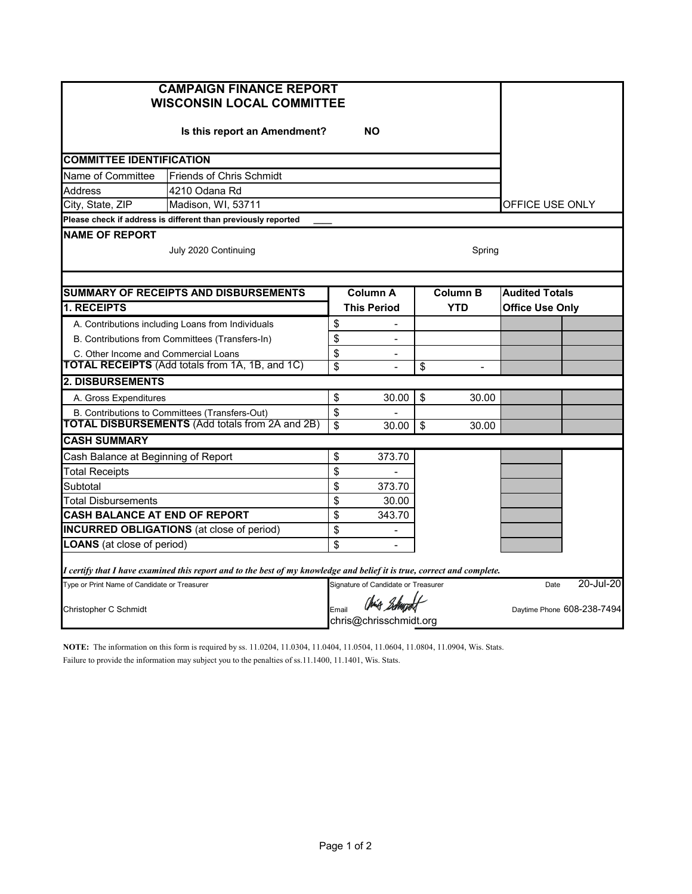| <b>CAMPAIGN FINANCE REPORT</b><br><b>WISCONSIN LOCAL COMMITTEE</b>                                                      |                                                               |                                                   |                    |                         |                          |                            |           |  |  |
|-------------------------------------------------------------------------------------------------------------------------|---------------------------------------------------------------|---------------------------------------------------|--------------------|-------------------------|--------------------------|----------------------------|-----------|--|--|
|                                                                                                                         |                                                               |                                                   |                    |                         |                          |                            |           |  |  |
| <b>COMMITTEE IDENTIFICATION</b>                                                                                         |                                                               |                                                   |                    |                         |                          |                            |           |  |  |
| Name of Committee                                                                                                       | <b>Friends of Chris Schmidt</b>                               |                                                   |                    |                         |                          |                            |           |  |  |
| <b>Address</b>                                                                                                          | 4210 Odana Rd                                                 |                                                   |                    |                         |                          |                            |           |  |  |
| City, State, ZIP                                                                                                        | Madison, WI, 53711                                            |                                                   |                    |                         |                          |                            |           |  |  |
|                                                                                                                         | Please check if address is different than previously reported |                                                   |                    |                         |                          |                            |           |  |  |
| <b>NAME OF REPORT</b><br>July 2020 Continuing<br>Spring                                                                 |                                                               |                                                   |                    |                         |                          |                            |           |  |  |
|                                                                                                                         | <b>SUMMARY OF RECEIPTS AND DISBURSEMENTS</b>                  |                                                   | Column A           | <b>Column B</b>         |                          | <b>Audited Totals</b>      |           |  |  |
| <b>1. RECEIPTS</b>                                                                                                      |                                                               |                                                   | <b>This Period</b> |                         | <b>YTD</b>               | <b>Office Use Only</b>     |           |  |  |
|                                                                                                                         | A. Contributions including Loans from Individuals             | \$                                                |                    |                         |                          |                            |           |  |  |
|                                                                                                                         | B. Contributions from Committees (Transfers-In)               | \$                                                | $\overline{a}$     |                         |                          |                            |           |  |  |
| C. Other Income and Commercial Loans                                                                                    |                                                               | \$                                                | $\blacksquare$     |                         |                          |                            |           |  |  |
|                                                                                                                         | <b>TOTAL RECEIPTS</b> (Add totals from 1A, 1B, and 1C)        | $\overline{\mathbf{S}}$                           |                    | $\overline{\mathbf{3}}$ | $\overline{\phantom{a}}$ |                            |           |  |  |
| <b>2. DISBURSEMENTS</b>                                                                                                 |                                                               |                                                   |                    |                         |                          |                            |           |  |  |
| A. Gross Expenditures                                                                                                   |                                                               | \$                                                | 30.00              | \$                      | 30.00                    |                            |           |  |  |
| B. Contributions to Committees (Transfers-Out)                                                                          |                                                               | \$                                                |                    |                         |                          |                            |           |  |  |
| <b>TOTAL DISBURSEMENTS (Add totals from 2A and 2B)</b>                                                                  |                                                               | \$                                                | 30.00              | \$                      | 30.00                    |                            |           |  |  |
| <b>CASH SUMMARY</b>                                                                                                     |                                                               |                                                   |                    |                         |                          |                            |           |  |  |
|                                                                                                                         | Cash Balance at Beginning of Report                           |                                                   | 373.70             |                         |                          |                            |           |  |  |
| <b>Total Receipts</b>                                                                                                   |                                                               | \$                                                |                    |                         |                          |                            |           |  |  |
| Subtotal                                                                                                                |                                                               | \$                                                | 373.70             |                         |                          |                            |           |  |  |
| Total Disbursements                                                                                                     |                                                               | \$                                                | 30.00              |                         |                          |                            |           |  |  |
| CASH BALANCE AT END OF REPORT                                                                                           |                                                               | \$                                                | 343.70             |                         |                          |                            |           |  |  |
| <b>INCURRED OBLIGATIONS</b> (at close of period)                                                                        |                                                               |                                                   | $\overline{a}$     |                         |                          |                            |           |  |  |
| <b>LOANS</b> (at close of period)                                                                                       |                                                               | \$                                                |                    |                         |                          |                            |           |  |  |
| I certify that I have examined this report and to the best of my knowledge and belief it is true, correct and complete. |                                                               |                                                   |                    |                         |                          |                            |           |  |  |
| Type or Print Name of Candidate or Treasurer                                                                            |                                                               | Signature of Candidate or Treasurer               |                    |                         |                          | Date                       | 20-Jul-20 |  |  |
| Christopher C Schmidt                                                                                                   |                                                               | Chris Schupolt<br>Email<br>chris@chrisschmidt.org |                    |                         |                          | Daytime Phone 608-238-7494 |           |  |  |

**NOTE:** The information on this form is required by ss. 11.0204, 11.0304, 11.0404, 11.0504, 11.0604, 11.0804, 11.0904, Wis. Stats. Failure to provide the information may subject you to the penalties of ss.11.1400, 11.1401, Wis. Stats.